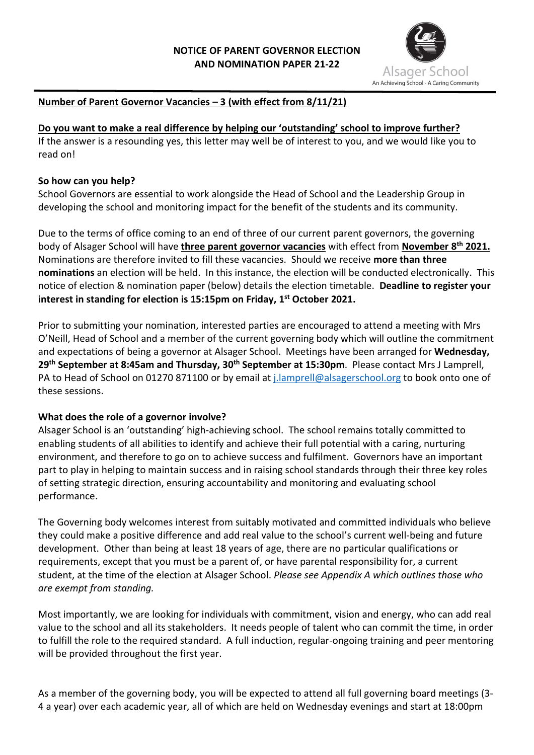

# **Number of Parent Governor Vacancies – 3 (with effect from 8/11/21)**

**Do you want to make a real difference by helping our 'outstanding' school to improve further?**  If the answer is a resounding yes, this letter may well be of interest to you, and we would like you to read on!

#### **So how can you help?**

School Governors are essential to work alongside the Head of School and the Leadership Group in developing the school and monitoring impact for the benefit of the students and its community.

Due to the terms of office coming to an end of three of our current parent governors, the governing body of Alsager School will have **three parent governor vacancies** with effect from **November 8 th 2021.**  Nominations are therefore invited to fill these vacancies. Should we receive **more than three nominations** an election will be held. In this instance, the election will be conducted electronically. This notice of election & nomination paper (below) details the election timetable. **Deadline to register your interest in standing for election is 15:15pm on Friday, 1 st October 2021.**

Prior to submitting your nomination, interested parties are encouraged to attend a meeting with Mrs O'Neill, Head of School and a member of the current governing body which will outline the commitment and expectations of being a governor at Alsager School. Meetings have been arranged for **Wednesday,**  29<sup>th</sup> September at 8:45am and Thursday, 30<sup>th</sup> September at 15:30pm. Please contact Mrs J Lamprell, PA to Head of School on 01270 871100 or by email at *j.lamprell@alsagerschool.org* to book onto one of these sessions.

## **What does the role of a governor involve?**

Alsager School is an 'outstanding' high-achieving school. The school remains totally committed to enabling students of all abilities to identify and achieve their full potential with a caring, nurturing environment, and therefore to go on to achieve success and fulfilment. Governors have an important part to play in helping to maintain success and in raising school standards through their three key roles of setting strategic direction, ensuring accountability and monitoring and evaluating school performance.

The Governing body welcomes interest from suitably motivated and committed individuals who believe they could make a positive difference and add real value to the school's current well-being and future development. Other than being at least 18 years of age, there are no particular qualifications or requirements, except that you must be a parent of, or have parental responsibility for, a current student, at the time of the election at Alsager School. *Please see Appendix A which outlines those who are exempt from standing.*

Most importantly, we are looking for individuals with commitment, vision and energy, who can add real value to the school and all its stakeholders. It needs people of talent who can commit the time, in order to fulfill the role to the required standard. A full induction, regular-ongoing training and peer mentoring will be provided throughout the first year.

As a member of the governing body, you will be expected to attend all full governing board meetings (3- 4 a year) over each academic year, all of which are held on Wednesday evenings and start at 18:00pm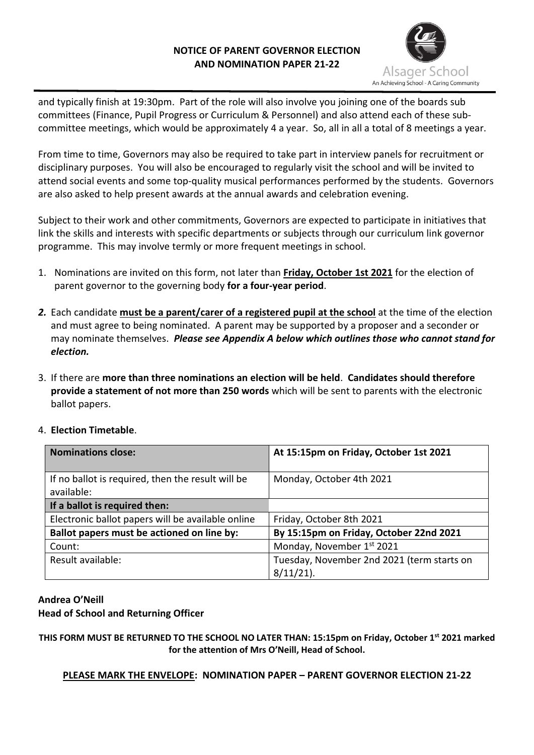## **NOTICE OF PARENT GOVERNOR ELECTION AND NOMINATION PAPER 21-22**



and typically finish at 19:30pm. Part of the role will also involve you joining one of the boards sub committees (Finance, Pupil Progress or Curriculum & Personnel) and also attend each of these subcommittee meetings, which would be approximately 4 a year. So, all in all a total of 8 meetings a year.

From time to time, Governors may also be required to take part in interview panels for recruitment or disciplinary purposes. You will also be encouraged to regularly visit the school and will be invited to attend social events and some top-quality musical performances performed by the students. Governors are also asked to help present awards at the annual awards and celebration evening.

Subject to their work and other commitments, Governors are expected to participate in initiatives that link the skills and interests with specific departments or subjects through our curriculum link governor programme. This may involve termly or more frequent meetings in school.

- 1. Nominations are invited on this form, not later than **Friday, October 1st 2021** for the election of parent governor to the governing body **for a four-year period**.
- *2.* Each candidate **must be a parent/carer of a registered pupil at the school** at the time of the election and must agree to being nominated. A parent may be supported by a proposer and a seconder or may nominate themselves. *Please see Appendix A below which outlines those who cannot stand for election.*
- 3. If there are **more than three nominations an election will be held**. **Candidates should therefore provide a statement of not more than 250 words** which will be sent to parents with the electronic ballot papers.
- 4. **Election Timetable**.

| <b>Nominations close:</b>                                       | At 15:15pm on Friday, October 1st 2021                     |
|-----------------------------------------------------------------|------------------------------------------------------------|
| If no ballot is required, then the result will be<br>available: | Monday, October 4th 2021                                   |
| If a ballot is required then:                                   |                                                            |
| Electronic ballot papers will be available online               | Friday, October 8th 2021                                   |
| Ballot papers must be actioned on line by:                      | By 15:15pm on Friday, October 22nd 2021                    |
| Count:                                                          | Monday, November 1st 2021                                  |
| Result available:                                               | Tuesday, November 2nd 2021 (term starts on<br>$8/11/21$ ). |

#### **Andrea O'Neill Head of School and Returning Officer**

**THIS FORM MUST BE RETURNED TO THE SCHOOL NO LATER THAN: 15:15pm on Friday, October 1st 2021 marked for the attention of Mrs O'Neill, Head of School.**

**PLEASE MARK THE ENVELOPE: NOMINATION PAPER – PARENT GOVERNOR ELECTION 21-22**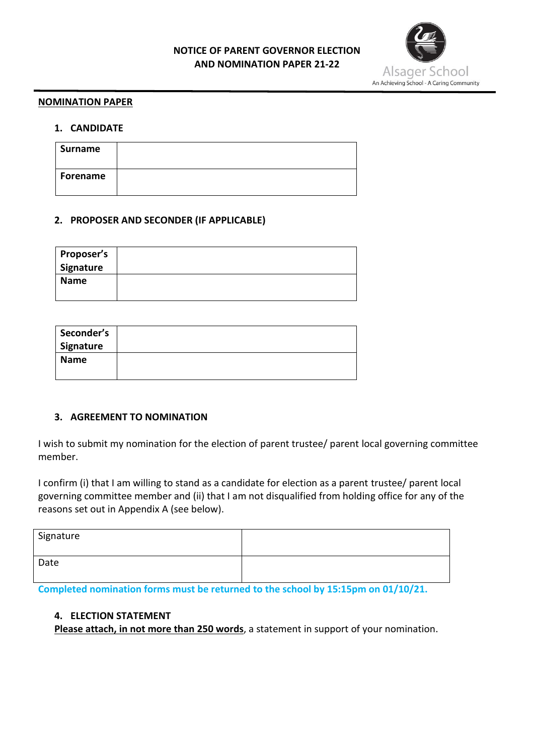## **NOTICE OF PARENT GOVERNOR ELECTION AND NOMINATION PAPER 21-22**



#### **NOMINATION PAPER**

#### **1. CANDIDATE**

| Surname  |  |
|----------|--|
| Forename |  |

## **2. PROPOSER AND SECONDER (IF APPLICABLE)**

| <b>Proposer's</b><br>Signature |  |
|--------------------------------|--|
| <b>Name</b>                    |  |

| Seconder's<br>Signature |  |
|-------------------------|--|
| <b>Name</b>             |  |

## **3. AGREEMENT TO NOMINATION**

I wish to submit my nomination for the election of parent trustee/ parent local governing committee member.

I confirm (i) that I am willing to stand as a candidate for election as a parent trustee/ parent local governing committee member and (ii) that I am not disqualified from holding office for any of the reasons set out in Appendix A (see below).

| Signature |  |
|-----------|--|
| Date      |  |

**Completed nomination forms must be returned to the school by 15:15pm on 01/10/21.**

# **4. ELECTION STATEMENT**

**Please attach, in not more than 250 words**, a statement in support of your nomination.